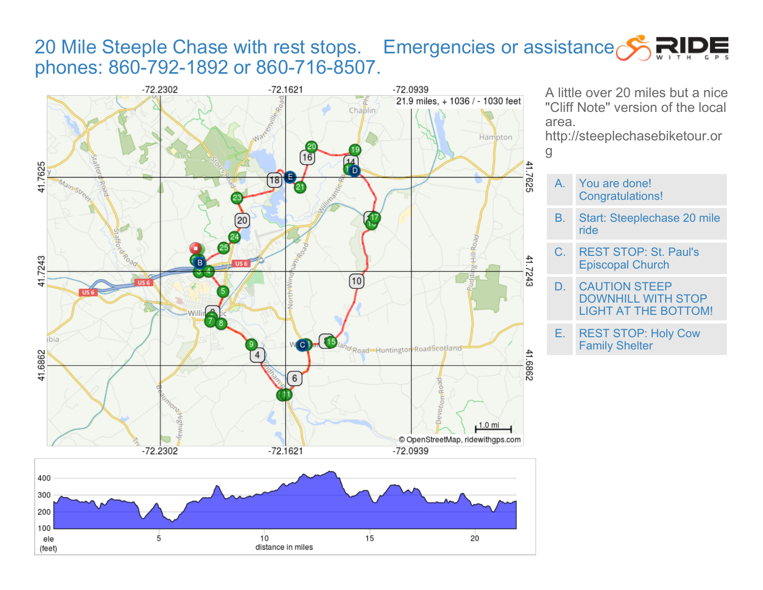## 20 Mile Steeple Chase with rest stops. Emergencies or assistance SRIDE phones: 860-792-1892 or 860-716-8507.





A little over 20 miles but a nice "Cliff Note" version of the local area.

http://steeplechasebiketour.or g

- A. You are done! Congratulations!
- B. Start: Steeplechase 20 mile ride
- C. REST STOP: St. Paul's Episcopal Church

D. CAUTION STEEP DOWNHILL WITH STOP LIGHT AT THE BOTTOM!

E. REST STOP: Holy Cow Family Shelter